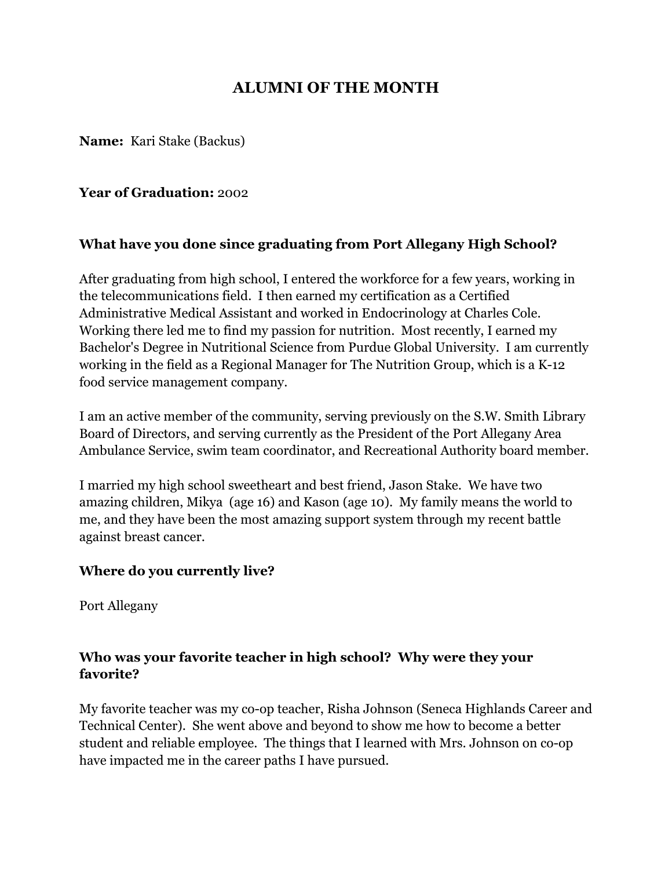# **ALUMNI OF THE MONTH**

**Name:** Kari Stake (Backus)

#### **Year of Graduation:** 2002

#### **What have you done since graduating from Port Allegany High School?**

After graduating from high school, I entered the workforce for a few years, working in the telecommunications field. I then earned my certification as a Certified Administrative Medical Assistant and worked in Endocrinology at Charles Cole. Working there led me to find my passion for nutrition. Most recently, I earned my Bachelor's Degree in Nutritional Science from Purdue Global University. I am currently working in the field as a Regional Manager for The Nutrition Group, which is a K-12 food service management company.

I am an active member of the community, serving previously on the S.W. Smith Library Board of Directors, and serving currently as the President of the Port Allegany Area Ambulance Service, swim team coordinator, and Recreational Authority board member.

I married my high school sweetheart and best friend, Jason Stake. We have two amazing children, Mikya (age 16) and Kason (age 10). My family means the world to me, and they have been the most amazing support system through my recent battle against breast cancer.

#### **Where do you currently live?**

Port Allegany

### **Who was your favorite teacher in high school? Why were they your favorite?**

My favorite teacher was my co-op teacher, Risha Johnson (Seneca Highlands Career and Technical Center). She went above and beyond to show me how to become a better student and reliable employee. The things that I learned with Mrs. Johnson on co-op have impacted me in the career paths I have pursued.